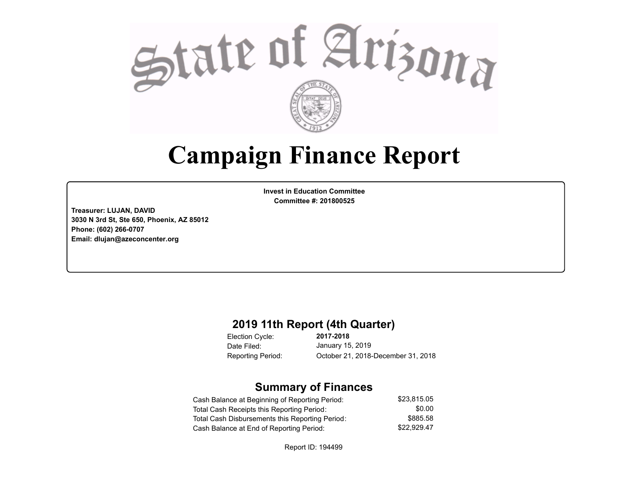

## **Campaign Finance Report**

**Invest in Education Committee Committee #: 201800525**

**Treasurer: LUJAN, DAVID 3030 N 3rd St, Ste 650, Phoenix, AZ 85012 Phone: (602) 266-0707 Email: dlujan@azeconcenter.org**

#### **2019 11th Report (4th Quarter)**

Election Cycle: Date Filed:

**2017-2018** January 15, 2019 Reporting Period: October 21, 2018-December 31, 2018

### **Summary of Finances**

| Cash Balance at Beginning of Reporting Period:  | \$23.815.05 |
|-------------------------------------------------|-------------|
| Total Cash Receipts this Reporting Period:      | \$0.00      |
| Total Cash Disbursements this Reporting Period: | \$885.58    |
| Cash Balance at End of Reporting Period:        | \$22.929.47 |

Report ID: 194499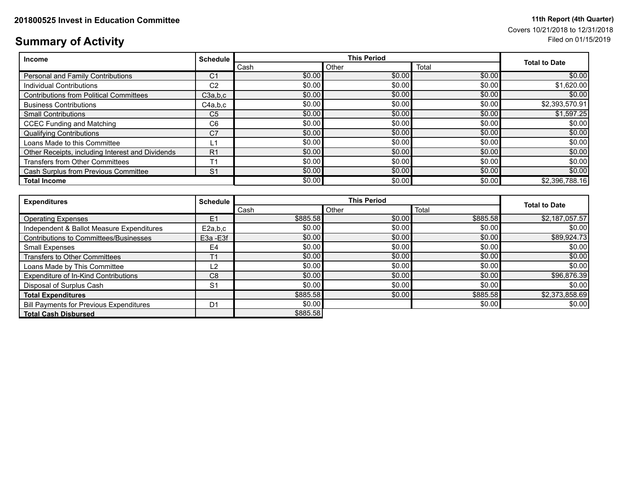# Covers 10/21/2018 to 12/31/2018

### **Summary of Activity** Filed on 01/15/2019

| <b>Income</b>                                    | <b>Schedule</b> | <b>This Period</b> |        |        |                      |
|--------------------------------------------------|-----------------|--------------------|--------|--------|----------------------|
|                                                  |                 | Cash               | Other  | Total  | <b>Total to Date</b> |
| Personal and Family Contributions                | C1              | \$0.00             | \$0.00 | \$0.00 | \$0.00               |
| Individual Contributions                         | C <sub>2</sub>  | \$0.00             | \$0.00 | \$0.00 | \$1,620.00           |
| <b>Contributions from Political Committees</b>   | C3a,b,c         | \$0.00             | \$0.00 | \$0.00 | \$0.00               |
| <b>Business Contributions</b>                    | C4a.b.c         | \$0.00             | \$0.00 | \$0.00 | \$2,393,570.91       |
| <b>Small Contributions</b>                       | C <sub>5</sub>  | \$0.00             | \$0.00 | \$0.00 | \$1,597.25           |
| <b>CCEC Funding and Matching</b>                 | C <sub>6</sub>  | \$0.00             | \$0.00 | \$0.00 | \$0.00               |
| <b>Qualifying Contributions</b>                  | C <sub>7</sub>  | \$0.00             | \$0.00 | \$0.00 | \$0.00               |
| Loans Made to this Committee                     | l 1             | \$0.00             | \$0.00 | \$0.00 | \$0.00               |
| Other Receipts, including Interest and Dividends | R <sub>1</sub>  | \$0.00             | \$0.00 | \$0.00 | \$0.00               |
| <b>Transfers from Other Committees</b>           | Τ1              | \$0.00             | \$0.00 | \$0.00 | \$0.00               |
| Cash Surplus from Previous Committee             | S <sub>1</sub>  | \$0.00             | \$0.00 | \$0.00 | \$0.00               |
| <b>Total Income</b>                              |                 | \$0.00             | \$0.00 | \$0.00 | \$2.396.788.16       |

| <b>Expenditures</b>                            | <b>Schedule</b> | <b>This Period</b> |        | <b>Total to Date</b> |                |
|------------------------------------------------|-----------------|--------------------|--------|----------------------|----------------|
|                                                |                 | Cash               | Other  | Total                |                |
| <b>Operating Expenses</b>                      | E1              | \$885.58           | \$0.00 | \$885.58             | \$2,187,057.57 |
| Independent & Ballot Measure Expenditures      | E2a,b,c         | \$0.00             | \$0.00 | \$0.00               | \$0.00         |
| Contributions to Committees/Businesses         | E3a -E3f        | \$0.00             | \$0.00 | \$0.00               | \$89,924.73    |
| Small Expenses                                 | E4              | \$0.00             | \$0.00 | \$0.00               | \$0.00         |
| <b>Transfers to Other Committees</b>           | T <sub>1</sub>  | \$0.00             | \$0.00 | \$0.00               | \$0.00         |
| Loans Made by This Committee                   | L2              | \$0.00             | \$0.00 | \$0.00               | \$0.00         |
| Expenditure of In-Kind Contributions           | C <sub>8</sub>  | \$0.00             | \$0.00 | \$0.00               | \$96,876.39    |
| Disposal of Surplus Cash                       | S <sub>1</sub>  | \$0.00             | \$0.00 | \$0.00               | \$0.00         |
| <b>Total Expenditures</b>                      |                 | \$885.58           | \$0.00 | \$885.58             | \$2,373,858.69 |
| <b>Bill Payments for Previous Expenditures</b> | D <sub>1</sub>  | \$0.00             |        | \$0.00               | \$0.00         |
| <b>Total Cash Disbursed</b>                    |                 | \$885.58           |        |                      |                |